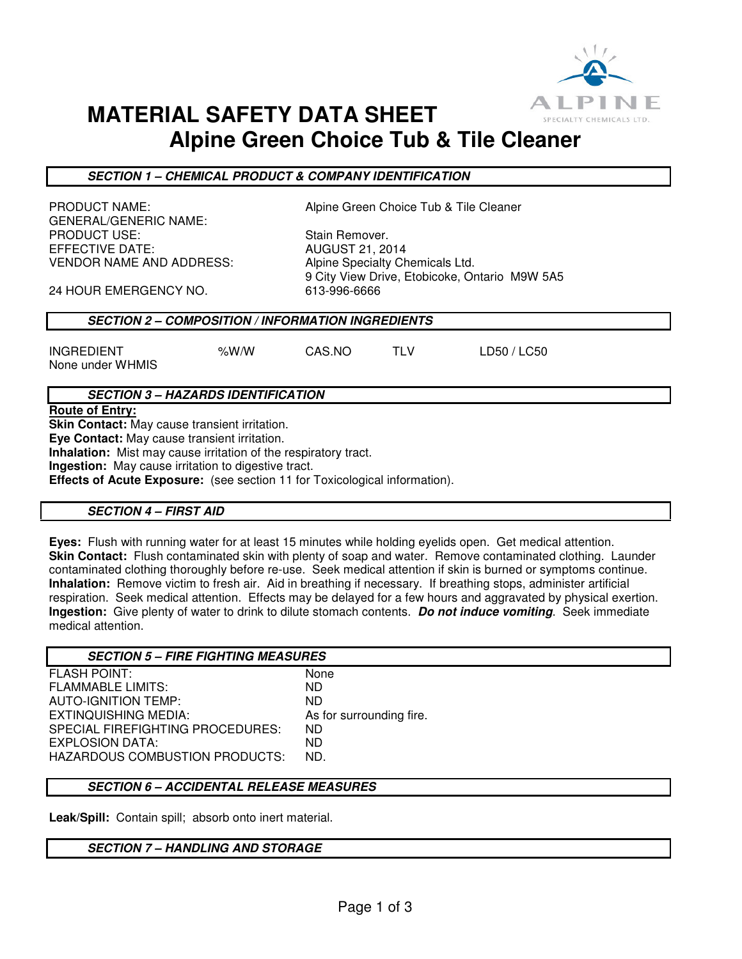

# **MATERIAL SAFETY DATA SHEET Alpine Green Choice Tub & Tile Cleaner**

**SECTION 1 – CHEMICAL PRODUCT & COMPANY IDENTIFICATION** 

GENERAL/GENERIC NAME: PRODUCT USE: Stain Remover. EFFECTIVE DATE: AUGUST 21, 2014 VENDOR NAME AND ADDRESS: Alpine Specialty Chemicals Ltd.

PRODUCT NAME:  $\qquad \qquad \qquad$  Alpine Green Choice Tub & Tile Cleaner

9 City View Drive, Etobicoke, Ontario M9W 5A5

24 HOUR EMERGENCY NO. 613-996-6666

## **SECTION 2 – COMPOSITION / INFORMATION INGREDIENTS**

INGREDIENT %W/W CAS.NO TLV LD50 / LC50 None under WHMIS

# **SECTION 3 – HAZARDS IDENTIFICATION**

**Route of Entry:** 

**Skin Contact:** May cause transient irritation.

**Eye Contact:** May cause transient irritation.

**Inhalation:** Mist may cause irritation of the respiratory tract.

**Ingestion:** May cause irritation to digestive tract.

**Effects of Acute Exposure:** (see section 11 for Toxicological information).

### **SECTION 4 – FIRST AID**

**Eyes:** Flush with running water for at least 15 minutes while holding eyelids open. Get medical attention. **Skin Contact:** Flush contaminated skin with plenty of soap and water. Remove contaminated clothing. Launder contaminated clothing thoroughly before re-use. Seek medical attention if skin is burned or symptoms continue. **Inhalation:** Remove victim to fresh air. Aid in breathing if necessary. If breathing stops, administer artificial respiration. Seek medical attention. Effects may be delayed for a few hours and aggravated by physical exertion. **Ingestion:** Give plenty of water to drink to dilute stomach contents. **Do not induce vomiting**. Seek immediate medical attention.

| <b>SECTION 5 - FIRE FIGHTING MEASURES</b> |                          |
|-------------------------------------------|--------------------------|
| <b>FLASH POINT:</b>                       | None                     |
| <b>FLAMMABLE LIMITS:</b>                  | ND.                      |
| AUTO-IGNITION TEMP:                       | ND.                      |
| EXTINQUISHING MEDIA:                      | As for surrounding fire. |
| SPECIAL FIREFIGHTING PROCEDURES:          | ND.                      |
| EXPLOSION DATA:                           | ND.                      |
| <b>HAZARDOUS COMBUSTION PRODUCTS:</b>     | ND.                      |
|                                           |                          |

## **SECTION 6 – ACCIDENTAL RELEASE MEASURES**

**Leak/Spill:** Contain spill; absorb onto inert material.

### **SECTION 7 – HANDLING AND STORAGE**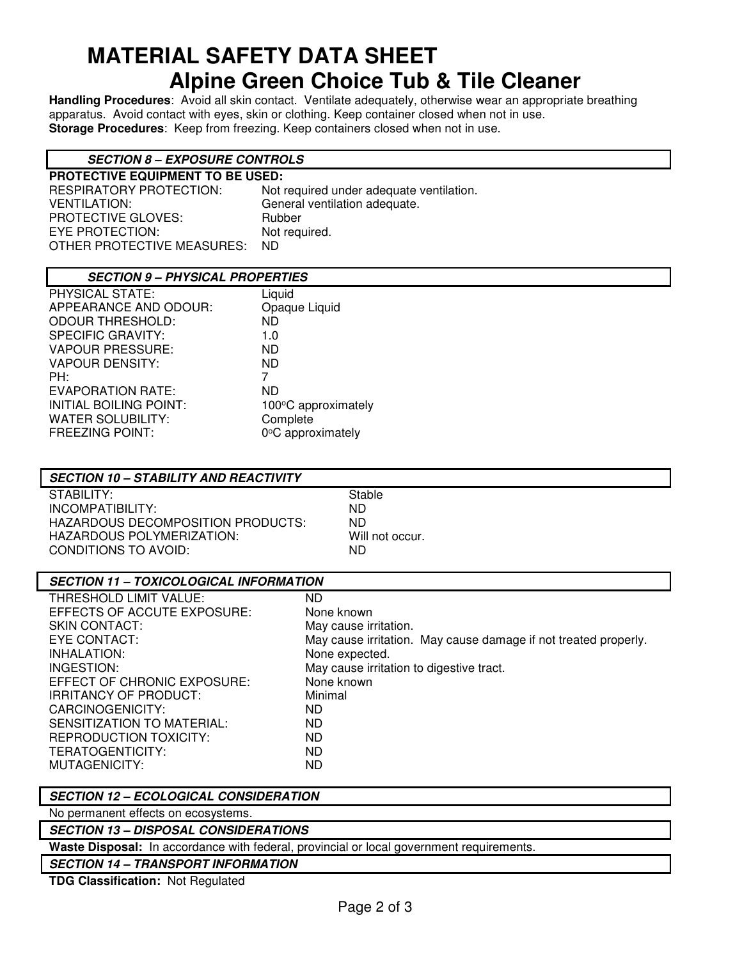# **MATERIAL SAFETY DATA SHEET Alpine Green Choice Tub & Tile Cleaner**

**Handling Procedures**: Avoid all skin contact. Ventilate adequately, otherwise wear an appropriate breathing apparatus. Avoid contact with eyes, skin or clothing. Keep container closed when not in use. **Storage Procedures**: Keep from freezing. Keep containers closed when not in use.

# **SECTION 8 – EXPOSURE CONTROLS**

**PROTECTIVE EQUIPMENT TO BE USED:**  Not required under adequate ventilation. VENTILATION: General ventilation adequate. PROTECTIVE GLOVES: Rubber EYE PROTECTION: Not required. OTHER PROTECTIVE MEASURES: ND

## **SECTION 9 – PHYSICAL PROPERTIES**

| PHYSICAL STATE:               | Liquid              |
|-------------------------------|---------------------|
| APPEARANCE AND ODOUR:         | Opaque Liquid       |
| <b>ODOUR THRESHOLD:</b>       | ND.                 |
| <b>SPECIFIC GRAVITY:</b>      | 1.0                 |
| <b>VAPOUR PRESSURE:</b>       | ND.                 |
| <b>VAPOUR DENSITY:</b>        | ND.                 |
| PH:                           | 7                   |
| <b>EVAPORATION RATE:</b>      | ND                  |
| <b>INITIAL BOILING POINT:</b> | 100°C approximately |
| <b>WATER SOLUBILITY:</b>      | Complete            |
| <b>FREEZING POINT:</b>        | 0°C approximately   |
|                               |                     |

# **SECTION 10 – STABILITY AND REACTIVITY**

STABILITY: STABILITY: INCOMPATIBILITY: ND HAZARDOUS DECOMPOSITION PRODUCTS: ND HAZARDOUS POLYMERIZATION: Will not occur. CONDITIONS TO AVOID: ND

### **SECTION 11 – TOXICOLOGICAL INFORMATION**  THRESHOLD LIMIT VALUE: ND EFFECTS OF ACCUTE EXPOSURE: None known SKIN CONTACT:<br>EYE CONTACT: The May cause irritation. May cause irritation. May cause damage if not treated properly. INHALATION: None expected. INGESTION: May cause irritation to digestive tract. EFFECT OF CHRONIC EXPOSURE: None known

IRRITANCY OF PRODUCT: Minimal CARCINOGENICITY: ND SENSITIZATION TO MATERIAL: ND REPRODUCTION TOXICITY: ND TERATOGENTICITY: ND MUTAGENICITY:

# **SECTION 12 – ECOLOGICAL CONSIDERATION**

No permanent effects on ecosystems.

### **SECTION 13 – DISPOSAL CONSIDERATIONS**

**Waste Disposal:** In accordance with federal, provincial or local government requirements.

**SECTION 14 – TRANSPORT INFORMATION**

**TDG Classification:** Not Regulated